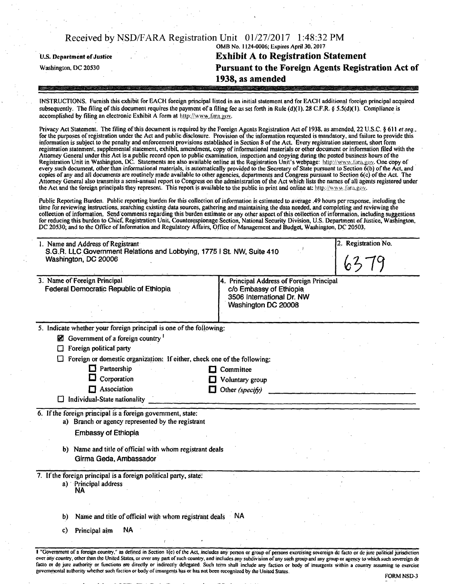|                                   | Received by NSD/FARA Registration Unit 01/27/2017 1:48:32 PM                                                                                                                                                                  |
|-----------------------------------|-------------------------------------------------------------------------------------------------------------------------------------------------------------------------------------------------------------------------------|
|                                   | OMB No. 1124-0006; Expires April 30, 2017                                                                                                                                                                                     |
| <b>U.S. Department of Justice</b> | <b>Exhibit A to Registration Statement</b>                                                                                                                                                                                    |
| Washington, DC 20530              | Pursuant to the Foreign Agents Registration Act of                                                                                                                                                                            |
|                                   | 1938, as amended                                                                                                                                                                                                              |
|                                   | was to get a second control of the control of the control of the second control of the control of the control of the control of the control of the control of the control of the control of the control of the control of the |

INSTRUCTIONS, Furnish this exhibit for EACH foreign principal listed in an initial statement and for EACH additional! foreign principal acquired subsequently. The filing of this document requires the payment of a filing fee as set forth in Rule (d)(1). 28 C.F.R. § 5.5(d)(1). Compliance is accomplished by filing an electronic Exhibit A form at http://www.fara.gov.

Privacy Act Statement. The filing of this document is required by the Foreign Agents Registration Act of 1938, as amended, 22 U.S.C. § 611 et seq., for the purposes of registration under the Act and public disclosure. Provision of the information requested is mandatory, and failure to provide this information is subject to the penalty and enforcement provisions established in Section 8 of the Act. Every registration statement, short form registration statement, supplemental statement, exhibit, amendment, copy of informational materials or other document or information filed with the Attorney General under this Act is a public record open to public examination, inspection and copying during the posted business hours of the Registration Unit in Washington, DC. Statements are also available online at the Registration Unit's webpage: http://www.fara.gov. One copy of every such document, other than informational materials, is automatically provided to the Secretary of State pursuant to Section 6(b) of the Act, and copies of any and all documents are routinely made available to other agencies, departments and Congress pursuant to Section 6(c) of the Act. The Attorney General also transmits a semi-annual report to Congress on the administration of the Act which lists the names of all agents registered under the Act and the foreign principals they represent. This report is available to the public in print and online at: http://www.fara.gov.

Public Reporting Burden. Public reporting burden for this collection of information is estimated to a verage .49 hours per response, including the time for reviewing instructions, searching existing data sources, gathering and maintaining the data needed, and completing and reviewing the collection of information. Send comments regarding this burden estimate or any other aspect of this collection of information, including suggestions for reducing this burden to Chief, Registration Unit, Counterespionage Section, National Security Division, U.S. Department of Justice, Washington, DC 20530; and to the Office of Information and Regulatory Affairs, Office of Management and Budget, Washington, DC 20503,

| 1. Name and Address of Registrant<br>S.G.R. LLC Government Relations and Lobbying, 1775   St. NW, Suite 410<br>Washington, DC 20006 | 2. Registration No.<br>6379                                                                                              |
|-------------------------------------------------------------------------------------------------------------------------------------|--------------------------------------------------------------------------------------------------------------------------|
| 3. Name of Foreign Principal<br>Federal Democratic Republic of Ethiopia                                                             | 4. Principal Address of Foreign Principal<br>c/o Embassy of Ethiopia<br>3506 International Dr. NW<br>Washington DC 20008 |
| 5. Indicate whether your foreign principal is one of the following:                                                                 |                                                                                                                          |
| Government of a foreign country                                                                                                     |                                                                                                                          |
| Foreign political party                                                                                                             |                                                                                                                          |
| Foreign or domestic organization: If either, check one of the following:                                                            |                                                                                                                          |
| Partnership                                                                                                                         | Committee                                                                                                                |
| Corporation                                                                                                                         | Voluntary group                                                                                                          |
| $\Box$ Association                                                                                                                  | Other (specify)                                                                                                          |
| Individual-State nationality                                                                                                        |                                                                                                                          |
| 6. If the foreign principal is a foreign government, state:<br>a) Branch or agency represented by the registrant                    |                                                                                                                          |
| <b>Embassy of Ethiopia</b>                                                                                                          |                                                                                                                          |
| b) Name and title of official with whom registrant deals<br>Girma Geda, Ambassador                                                  |                                                                                                                          |
| 7. If the foreign principal is a foreign political party, state:                                                                    |                                                                                                                          |
| a) Principal address<br>ΝA                                                                                                          |                                                                                                                          |
|                                                                                                                                     |                                                                                                                          |
| Name and title of official with whom registrant deals NA<br>b)                                                                      |                                                                                                                          |
| ΝA<br>Principal aim<br>C)                                                                                                           |                                                                                                                          |
|                                                                                                                                     |                                                                                                                          |

facto or de jure authority or functions are directly or indirectly delegated. Such term shall include any faction or body of insurgents within a country assuming to exercise governmental authority whether such faction or body of insurgents has or has not been recognized by the United States. FORM NSD-3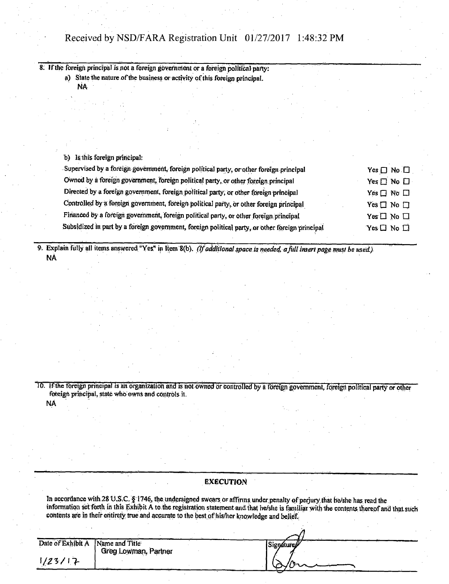# Received by NSD/FARA Registration Unit 01/27/2017 1:48:32 PM

8. If the foreign principal is not a foreign government or a foreign political party:

a) State the nature of the business or activity of this foreign principal. NA

b) Is this foreign principal:

| Supervised by a foreign government, foreign political party, or other foreign principal         | Yes $\Box$ No $\Box$       |
|-------------------------------------------------------------------------------------------------|----------------------------|
| Owned by a foreign government, foreign political party, or other foreign principal              | $Yes \Box No \Box$         |
| Directed by a foreign government, foreign political party, or other foreign principal           | Yes $\Box$ No $\Box$       |
| Controlled by a foreign government, foreign political party, or other foreign principal         | Yes $\Box$ No $\Box$       |
| Financed by a foreign government, foreign political party, or other foreign principal           | Yes $\square$ No $\square$ |
| Subsidized in part by a foreign government, foreign political party, or other foreign principal | $Yes \Box No \Box$         |

9. Explain fully all items answered "Yes" in Item 8(b). (If additional space is needed, a full insert page must be used.) NA

10. If the foreign principal is ah organization ahd is not owned or controlled by a foreign government, foreign political party or other foreign principal, state who owns and controls it. **NA** 

### EXECUTION

In accordance with 28 U.S.C. § 1746, the undersigned swears or affirms under penalty of perjury that he/she has read the information set forth in this Exhibit A to the registration statement and that he/she is familiar with the contents thereof arid that such contents are in their entirety true and accurate to the best of his/her knowledge and belief.

| Date of Exhibit A Name and Title | Greg Lowman, Partner | Signature |  |
|----------------------------------|----------------------|-----------|--|
| 1/23/17                          |                      | $\infty$  |  |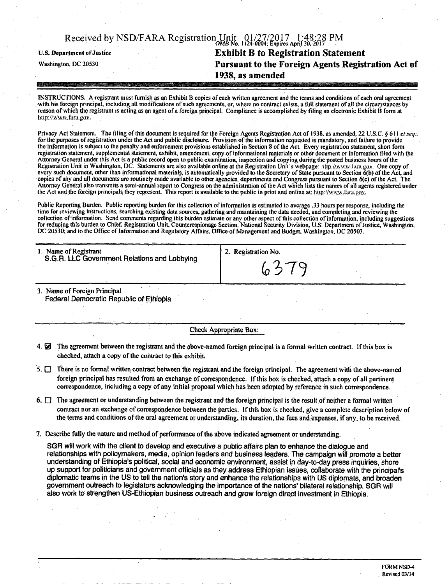|                                   | Received by NSD/FARA Registration Unit 01/27/2017 1:48:28 PM |
|-----------------------------------|--------------------------------------------------------------|
| <b>U.S. Department of Justice</b> | <b>Exhibit B to Registration Statement</b>                   |
| Washington, DC 20530              | Pursuant to the Foreign Agents Registration Act of           |
|                                   | 1938, as amended                                             |
|                                   |                                                              |

INSTRUCTIONS. A registrant must furnish as an Exhibit 13 copies of each written agreement and the terms and conditions of each oral agreement with his foreign principal, including all modifications of such agreements, or, where no contract exists, a full statement of all the circumstances by reason of which the registrant is acting as an agent of a foreign principal. Compliance is accomplished by filing an electronic Exhibit B form at *bttp://www.fara.gov.* 

*Privacy Act Statement. The filing of this document is required for the Foreign Agents Registration Act of 1938, as amended, 22 U.S.C. § 611 et seq:.*  for the purposes of registration under the Act and public disclosure. Provision of the information requested is mandatory, and failure to provide *the information is subject to the penalty and enforcement provisions established in Section 8 of the Act. Every registration statement, short form registration statement, supplemental statement, exhibit, amendment, copy of informational materials or other document or information filed with the Attorney General under this Act is a public record open to public examination, inspection and copying during the posted business hours ofthe*  Registration Unit in Washington, DC. Statements are also available online at the Registration Unit's webpage: http://www.fura.gov. One copy of *every such document, other than informational materials, is automatically provided to the Secretary of State pursuant to Section 6(b) ofthe Act, and copies of any and all documents are routinely made available to other agencies, departments and Congress pursuant to Section 6(c) of the Act. The*  Attorney General also transmits a semi-annual report to Congress on the administration of the Act which lists the names of all agents registered under the Act and the foreign principals they represent. This report is available to the public in print and online at; http://www.fara.gov.

Public Reporting Burden, Public reporting burden for this collection of information is estimated to average .33 hours per response, including the time for reviewing instructions, searching existing data sources, gathering and maintaining the data needed, and completing and reviewing the collection of information. Send comments regarding this burden estimate or any other aspect of this collection of information, including suggestions for reducing this burden to Chief, Registration Unit, Counterespionage Section, National Security Division, U.S. Department of Justice, Washington, DC 20530; and to the Office of Information and Regulatory Affairs, Office of Management and Budget, Washington, DC 20503.

| 1. Name of Registrant                        | 2. Registration No. |  |
|----------------------------------------------|---------------------|--|
| S.G.R. LLC Government Relations and Lobbying | 6379                |  |

3. Name of Foreign Principal Federal Democratic Republic of Ethiopia

Check Appropriate Box:

- 4.  $\boxtimes$  The agreement between the registrant and the above-named foreign principal is a formal written contract. If this box is checked, attach a copy of the contract to this exhibit;
- $5.$   $\Box$  There is no formal written contract between the registrant and the foreign principal. The agreement with the above-named foreign principal has resulted from an exchange of correspondence, if this box is checked, attach a copy of ail pertinent correspondence, including a copy of any initial proposal which has been adopted by reference in such correspondence.
- 6.  $\Box$  The agreement or understanding between the registrant and the foreign principal is the result of neither a formal written contract nor an exchange of correspondence between the parties. If this box is checked, give a complete description below of the terms and conditions of the oral agreement or understanding, its duration, the fees and expenses, if any, to be received.
- 7. Describe fully the nature and method of performance of the above indicated agreement or understanding.

SGR will work with the client to develop and executive a public affairs plan to enhance the dialogue and relationships with policymakers, media, opinion leaders and business leaders. The campaign will promote a better understanding of Ethiopia's political, social and economic environment, assist in day-to-day press inquiries, shore up support for politicians and government officials as they address Ethiopian issues, collaborate with the principal's diplomatic teams in the US to tell the nation's story and enhance the relationships with US diplomats, and broaden government outreach to legislators acknowledging the importance of the nations' bilateral relationship. SGR will also work to strengthen US-Ethiopian business outreach and grow foreign direct investment in Ethiopia.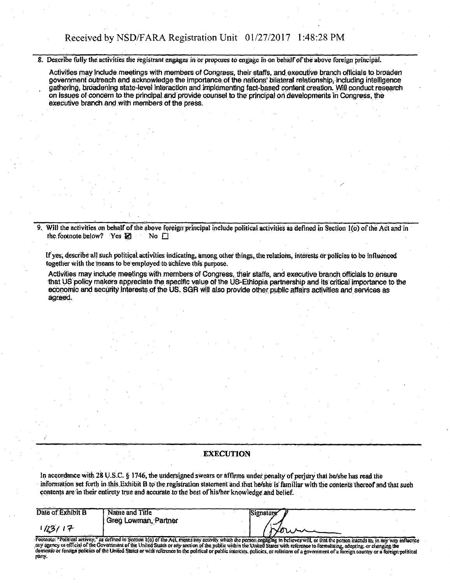### Received by NSD/FARA Registration Unit 01 /27/2017 1:48:28 PM

8. Describe fully the activities the registrant engages in or proposes to engage in on behalf of the above foreign principal.

Activities may include meetings with members of Congress, their staffs, and executive branch officials to broaden government outreach and acknowledge the importance of the nations' bilateral relationship, including intelligence gathering, broadening state-level interaction and implementing fact-based content creation. Will conduct research on issues of concern to the principal and provide counsel to the principal on developments in Congress, the executive branch and with members of the press.

9. Will the activities on behalf of the above foreign principal include political activities as defined in Section 1(6) of the Act and in the footnote below? Yes  $\boxtimes$  No  $\Box$ the footnote below? Yes  $\boxtimes$ 

If yes, describe all such political activities indicating, among other things, the relations, interests or policies to bo influenced together with the means to be employed to achieve this purpose.

Activities may include meetings with members of Congress, their staffs, and executive branch officials to ensure that US policy makers appreciate the specific value of the US-Ethiopia partnership and its critical importance to the economic and security interests of the US. SGR will also provide other public affairs activities and services as agreed.

#### EXECUTION

In accordance with 28 U.S.C. § 1746, the undersigned swears or affirms under penaity of perjury thai he/she has read the information set forth in this. Exhibit B to the registration statement and that he/she is familiar with the contents thereof and that such contents are in their entirety true and accurate to the best of his/her knowledge and belief.

| Date of Exhibit B | Name and Title       | Signature                                                                                                                                                                                    |
|-------------------|----------------------|----------------------------------------------------------------------------------------------------------------------------------------------------------------------------------------------|
|                   | Greg Lowman, Partner |                                                                                                                                                                                              |
| 1/23/17           |                      |                                                                                                                                                                                              |
|                   |                      |                                                                                                                                                                                              |
|                   |                      | Pootnote: "Political activity," as defined in Section 1(c) of the Act, means any activity which the person engaging in believes will, or that the person intends to, in any way influence    |
|                   |                      | any agency or efficial of the Government of the United States or any section of the public within the United States with reference to formulating, adopting, or changing the                 |
|                   |                      | domestic or foreign policies of the United States or with reference in the political or public interests, policies, or relations of a government of a foreign country or a foreign political |
| nany.             |                      |                                                                                                                                                                                              |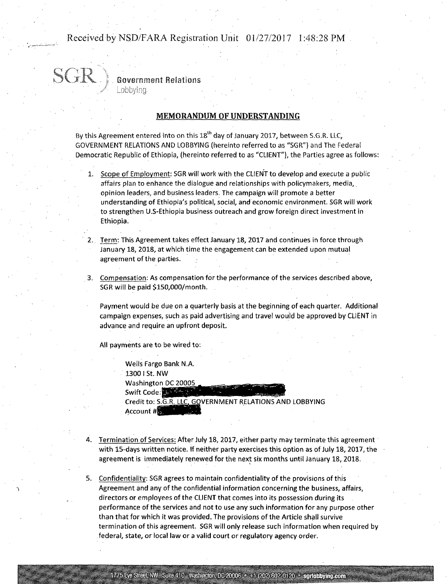### Received by NSD/FARA Registration Unit 01/27/2017 1:48:28 PM

#### **Government Relations**

Lobbvina

#### MEMORANDUM OF UNDERSTANDING

By this Agreement entered into on this  $18<sup>th</sup>$  day of January 2017, between S.G.R. LLC, GOVERNMENT RELATIONS AND LOBBYING (hereinto referred to as "SGR") and The Federal Democratic Republic of Ethiopia, (hereinto referred to as "CLIENT"), the Parties agree as follows:

- 1. Scope of Employment: SGR will work with the CLIENT to develop and execute a public affairs plan to enhance the dialogue and relationships with policymakers, media, opinion leaders, and business leaders. The campaign will promote a better understanding of Ethiopia's political, social, and economic environment. SGR will work to strengthen U.S-Ethiopia business outreach and grow foreign direct investment in Ethiopia.
- Term: This Agreement takes effect January 18, 2017 and continues in force through January 18, 2018, at which time the engagement can be extended upon mutual agreement of the parties.
- Compensation: As compensation for the performance of the services described above, SGR will be paid \$150,000/month.

Payment would be due on a quarterly basis at the beginning of each quarter. Additional campaign expenses, such as paid advertising and travel would be approved by CLIENT in advance and require an upfront deposit.

All payments are to be wired to:

Wells Fargo Bank N.A. 1300 I St. NW Washington DC 20005 Swift Code: Credit to: S.G.R. LLC, GOVERNMENT RELATIONS AND LOBBYING Account #B

- 4. Termination of Services: After July 18, 2017, either party may terminate this agreement with 15-days written notice. If neither party exercises this option as of July 18, 2017, the agreement is immediately renewed for the next six months until January 18,2018.
- 5. Confidentiality: SGR agrees to maintain confidentiality of the provisions of this Agreement and any of the confidential information concerning the business, affairs, directors or employees of the CLIENT that comes into its possession during its performance of the services and not to use any such information for any purpose other than that for which it was provided, The provisions of the Article shall survive termination of this agreement. SGR will only release such information when required by federal, state, or local law or a valid court or regulatory agency order.

1775 Eye Street, NW Suite 410 Washington, DC 20006 + +1 (202) 602-0120 \* sgriobbying.com